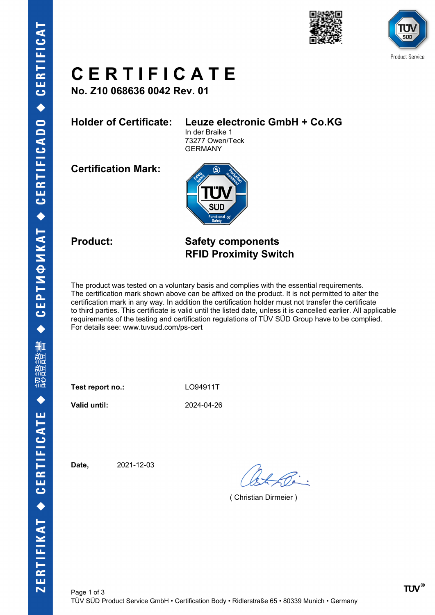



# **C E R T I F I C A T E**

**No. Z10 068636 0042 Rev. 01**

## **Holder of Certificate: Leuze electronic GmbH + Co.KG**

In der Braike 1 73277 Owen/Teck GERMANY

**Certification Mark:**



## **Product: Safety components RFID Proximity Switch**

The product was tested on a voluntary basis and complies with the essential requirements. The certification mark shown above can be affixed on the product. It is not permitted to alter the certification mark in any way. In addition the certification holder must not transfer the certificate to third parties. This certificate is valid until the listed date, unless it is cancelled earlier. All applicable requirements of the testing and certification regulations of TÜV SÜD Group have to be complied. For details see: www.tuvsud.com/ps-cert

Test report no.: LO94911T

**Valid until:** 2024-04-26

**Date,** 2021-12-03

( Christian Dirmeier )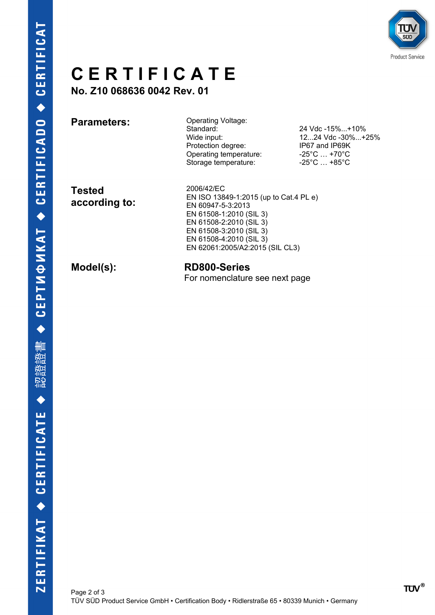

# **C E R T I F I C A T E**

**No. Z10 068636 0042 Rev. 01**

**Parameters:** Operating Voltage:<br>
Standard: Standard: 24 Vdc -15%...+10%<br>Wide input: 24 Vdc -30%...+10% Protection degree: IP67 and IP69K Operating temperature: -25°C ... +70°C Storage temperature: -25°C ... +85°C

12...24 Vdc -30%...+25%

**Tested according to:** 2006/42/EC EN ISO 13849-1:2015 (up to Cat.4 PL e) EN 60947-5-3:2013 EN 61508-1:2010 (SIL 3) EN 61508-2:2010 (SIL 3) EN 61508-3:2010 (SIL 3) EN 61508-4:2010 (SIL 3) EN 62061:2005/A2:2015 (SIL CL3)

**Model(s): RD800-Series** For nomenclature see next page